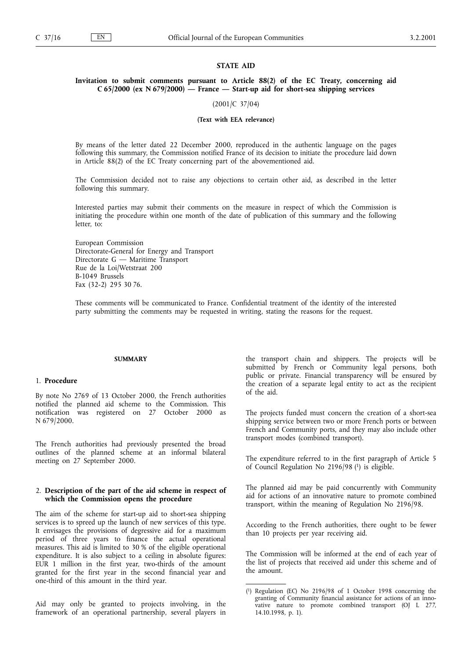#### STATE AID

## Invitation to submit comments pursuant to Article 88(2) of the EC Treaty, concerning aid C 65/2000 (ex N 679/2000)  $-$  France  $-$  Start-up aid for short-sea shipping services

(2001/C 37/04)

#### (Text with EEA relevance)

By means of the letter dated 22 December 2000, reproduced in the authentic language on the pages following this summary, the Commission notified France of its decision to initiate the procedure laid down in Article 88(2) of the EC Treaty concerning part of the abovementioned aid.

The Commission decided not to raise any objections to certain other aid, as described in the letter following this summary.

Interested parties may submit their comments on the measure in respect of which the Commission is initiating the procedure within one month of the date of publication of this summary and the following letter, to:

European Commission Directorate-General for Energy and Transport Directorate  $G -$  Maritime Transport Rue de la Loi/Wetstraat 200 B-1049 Brussels Fax (32-2) 295 30 76.

These comments will be communicated to France. Confidential treatment of the identity of the interested party submitting the comments may be requested in writing, stating the reasons for the request.

# SUMMARY

# 1. Procedure

By note No 2769 of 13 October 2000, the French authorities notified the planned aid scheme to the Commission. This notification was registered on 27 October 2000 as N 679/2000.

The French authorities had previously presented the broad outlines of the planned scheme at an informal bilateral meeting on 27 September 2000.

#### 2. Description of the part of the aid scheme in respect of which the Commission opens the procedure

The aim of the scheme for start-up aid to short-sea shipping services is to spreed up the launch of new services of this type. It envisages the provisions of degressive aid for a maximum period of three years to finance the actual operational measures. This aid is limited to 30 % of the eligible operational expenditure. It is also subject to a ceiling in absolute figures: EUR 1 million in the first year, two-thirds of the amount granted for the first year in the second financial year and one-third of this amount in the third year.

Aid may only be granted to projects involving, in the framework of an operational partnership, several players in the transport chain and shippers. The projects will be submitted by French or Community legal persons, both public or private. Financial transparency will be ensured by the creation of a separate legal entity to act as the recipient of the aid.

The projects funded must concern the creation of a short-sea shipping service between two or more French ports or between French and Community ports, and they may also include other transport modes (combined transport).

The expenditure referred to in the first paragraph of Article 5 of Council Regulation No 2196/98 (1) is eligible.

The planned aid may be paid concurrently with Community aid for actions of an innovative nature to promote combined transport, within the meaning of Regulation No 2196/98.

According to the French authorities, there ought to be fewer than 10 projects per year receiving aid.

The Commission will be informed at the end of each year of the list of projects that received aid under this scheme and of the amount.

<sup>(</sup> 1) Regulation (EC) No 2196/98 of 1 October 1998 concerning the granting of Community financial assistance for actions of an innovative nature to promote combined transport (OJ L 277, 14.10.1998, p. 1).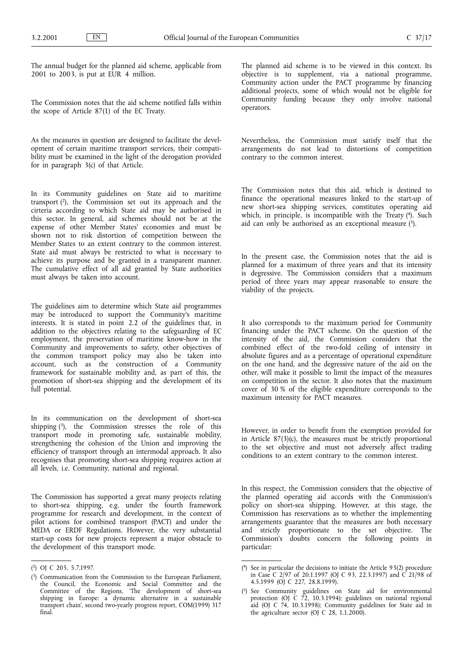The annual budget for the planned aid scheme, applicable from 2001 to 2003, is put at EUR 4 million.

The Commission notes that the aid scheme notified falls within the scope of Article 87(1) of the EC Treaty.

As the measures in question are designed to facilitate the development of certain maritime transport services, their compatibility must be examined in the light of the derogation provided for in paragraph 3(c) of that Article.

In its Community guidelines on State aid to maritime transport  $(2)$ , the Commission set out its approach and the cirteria according to which State aid may be authorised in this sector. In general, aid schemes should not be at the expense of other Member States' economies and must be shown not to risk distortion of competition between the Member States to an extent contrary to the common interest. State aid must always be restricted to what is necessary to achieve its purpose and be granted in a transparent manner. The cumulative effect of all aid granted by State authorities must always be taken into account.

The guidelines aim to determine which State aid programmes may be introduced to support the Community's maritime interests. It is stated in point 2.2 of the guidelines that, in addition to the objectives relating to the safeguarding of EC employment, the preservation of maritime know-how in the Community and improvements to safety, other objectives of the common transport policy may also be taken into account, such as the construction of a Community framework for sustainable mobility and, as part of this, the promotion of short-sea shipping and the development of its full potential.

In its communication on the development of short-sea shipping  $(3)$ , the Commission stresses the role of this transport mode in promoting safe, sustainable mobility, strengthening the cohesion of the Union and improving the efficiency of transport through an intermodal approach. It also recognises that promoting short-sea shipping requires action at all levels, i.e. Community, national and regional.

The Commission has supported a great many projects relating to short-sea shipping, e.g. under the fourth framework programme for research and development, in the context of pilot actions for combined transport (PACT) and under the MEDA or ERDF Regulations. However, the very substantial start-up costs for new projects represent a major obstacle to the development of this transport mode.

The planned aid scheme is to be viewed in this context. Its objective is to supplement, via a national programme, Community action under the PACT programme by financing additional projects, some of which would not be eligible for Community funding because they only involve national operators.

Nevertheless, the Commission must satisfy itself that the arrangements do not lead to distortions of competition contrary to the common interest.

The Commission notes that this aid, which is destined to finance the operational measures linked to the start-up of new short-sea shipping services, constitutes operating aid which, in principle, is incompatible with the Treaty  $(4)$ . Such aid can only be authorised as an exceptional measure  $(5)$ .

In the present case, the Commission notes that the aid is planned for a maximum of three years and that its intensity is degressive. The Commission considers that a maximum period of three years may appear reasonable to ensure the viability of the projects.

It also corresponds to the maximum period for Community financing under the PACT scheme. On the question of the intensity of the aid, the Commission considers that the combined effect of the two-fold ceiling of intensity in absolute figures and as a percentage of operational expenditure on the one hand, and the degressive nature of the aid on the other, will make it possible to limit the impact of the measures on competition in the sector. It also notes that the maximum cover of 30 % of the eligible expenditure corresponds to the maximum intensity for PACT measures.

However, in order to benefit from the exemption provided for in Article 87(3)(c), the measures must be strictly proportional to the set objective and must not adversely affect trading conditions to an extent contrary to the common interest.

In this respect, the Commission considers that the objective of the planned operating aid accords with the Commission's policy on short-sea shipping. However, at this stage, the Commission has reservations as to whether the implementing arrangements guarantee that the measures are both necessary and strictly proportionate to the set objective. The Commission's doubts concern the following points in particular:

<sup>(</sup> 2) OJ C 205, 5.7.1997.

<sup>(</sup> 3) Communication from the Commission to the European Parliament, the Council, the Economic and Social Committee and the Committee of the Regions, The development of short-sea shipping in Europe: a dynamic alternative in a sustainable transport chain', second two-yearly progress report, COM(1999) 317 final.

<sup>(</sup> 4) See in particular the decisions to initiate the Article 93(2) procedure in Case C 2/97 of 20.1.1997 (OJ C 93, 22.3.1997) and C 21/98 of 4.5.1999 (OJ C 227, 28.8.1999).

<sup>(</sup> 5) See Community guidelines on State aid for environmental protection (OJ C 72, 10.3.1994); guidelines on national regional aid (OJ C 74, 10.3.1998); Community guidelines for State aid in the agriculture sector (OJ C 28, 1.1.2000).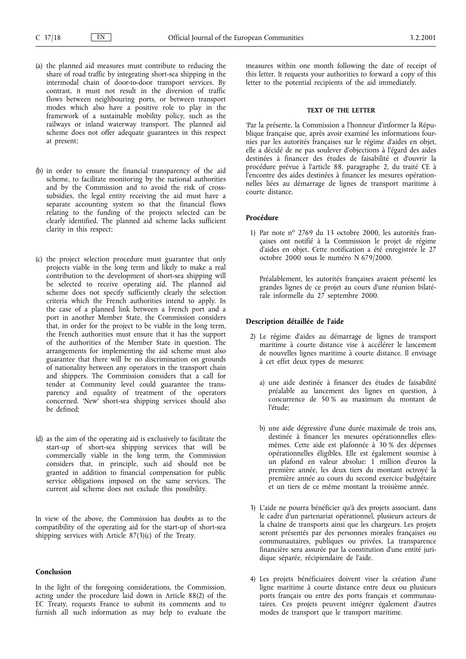- (a) the planned aid measures must contribute to reducing the share of road traffic by integrating short-sea shipping in the intermodal chain of door-to-door transport services. By contrast, it must not result in the diversion of traffic flows between neighbouring ports, or between transport modes which also have a positive role to play in the framework of a sustainable mobility policy, such as the railways or inland waterway transport. The planned aid scheme does not offer adequate guarantees in this respect at present;
- (b) in order to ensure the financial transparency of the aid scheme, to facilitate monitoring by the national authorities and by the Commission and to avoid the risk of crosssubsidies, the legal entity receiving the aid must have a separate accounting system so that the financial flows relating to the funding of the projects selected can be clearly identified. The planned aid scheme lacks sufficient clarity in this respect;
- (c) the project selection procedure must guarantee that only projects viable in the long term and likely to make a real contribution to the development of short-sea shipping will be selected to receive operating aid. The planned aid scheme does not specify sufficiently clearly the selection criteria which the French authorities intend to apply. In the case of a planned link between a French port and a port in another Member State, the Commission considers that, in order for the project to be viable in the long term, the French authorities must ensure that it has the support of the authorities of the Member State in question. The arrangements for implementing the aid scheme must also guarantee that there will be no discrimination on grounds of nationality between any operators in the transport chain and shippers. The Commission considers that a call for tender at Community level could guarantee the transparency and equality of treatment of the operators concerned. 'New' short-sea shipping services should also be defined;
- (d) as the aim of the operating aid is exclusively to facilitate the start-up of short-sea shipping services that will be commercially viable in the long term, the Commission considers that, in principle, such aid should not be granted in addition to financial compensation for public service obligations imposed on the same services. The current aid scheme does not exclude this possibility.

In view of the above, the Commission has doubts as to the compatibility of the operating aid for the start-up of short-sea shipping services with Article 87(3)(c) of the Treaty.

#### Conclusion

In the light of the foregoing considerations, the Commission, acting under the procedure laid down in Article 88(2) of the EC Treaty, requests France to submit its comments and to furnish all such information as may help to evaluate the

measures within one month following the date of receipt of this letter. It requests your authorities to forward a copy of this letter to the potential recipients of the aid immediately.

#### TEXT OF THE LETTER

'Par la présente, la Commission a l'honneur d'informer la République française que, après avoir examiné les informations fournies par les autorités françaises sur le régime d'aides en objet, elle a décidé de ne pas soulever d'objections à l'égard des aides destinées à financer des études de faisabilité et d'ouvrir la procédure prévue à l'article 88, paragraphe 2, du traité CE à l'encontre des aides destinées à financer les mesures opérationnelles liées au démarrage de lignes de transport maritime à courte distance.

# Procédure

1) Par note nº 2769 du 13 octobre 2000, les autorités françaises ont notifié à la Commission le projet de régime d'aides en objet. Cette notification a été enregistrée le 27 octobre 2000 sous le numéro N 679/2000.

Préalablement, les autorités françaises avaient présenté les grandes lignes de ce projet au cours d'une réunion bilatérale informelle du 27 septembre 2000.

#### Description détaillée de l'aide

- 2) Le régime d'aides au démarrage de lignes de transport maritime à courte distance vise à accélérer le lancement de nouvelles lignes maritime à courte distance. Il envisage à cet effet deux types de mesures:
	- a) une aide destinée à financer des études de faisabilité préalable au lancement des lignes en question, à concurrence de 50 % au maximum du montant de l'étude:
	- b) une aide dégressive d'une durée maximale de trois ans, destinée à financer les mesures opérationnelles ellesmêmes. Cette aide est plafonnée à 30 % des dépenses opérationnelles éligibles. Elle est également soumise à un plafond en valeur absolue: 1 million d'euros la première année, les deux tiers du montant octroyé la première année au cours du second exercice budgétaire et un tiers de ce même montant la troisième année.
- 3) L'aide ne pourra bénéficier qu'à des projets associant, dans le cadre d'un partenariat opérationnel, plusieurs acteurs de la chaîne de transports ainsi que les chargeurs. Les projets seront présentés par des personnes morales françaises ou communautaires, publiques ou privées. La transparence financière sera assurée par la constitution d'une entité juridique séparée, récipiendaire de l'aide.
- 4) Les projets bénéficiaires doivent viser la création d'une ligne maritime à courte distance entre deux ou plusieurs ports français ou entre des ports français et communautaires. Ces projets peuvent intégrer également d'autres modes de transport que le transport maritime.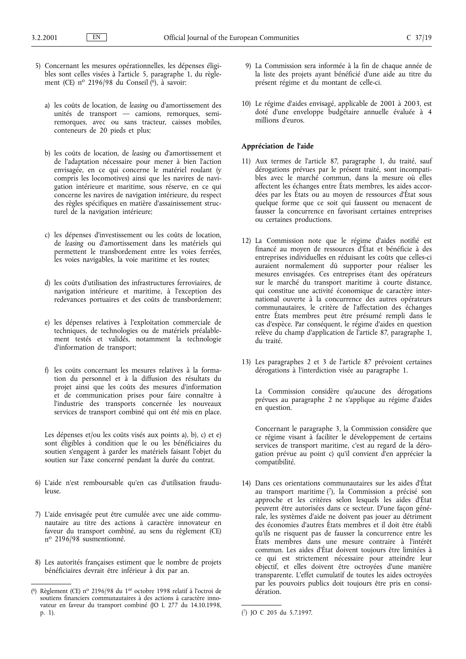- 5) Concernant les mesures opérationnelles, les dépenses éligibles sont celles visées à l'article 5, paragraphe 1, du règlement (CE) nº 2196/98 du Conseil ( $6$ ), à savoir:
	- a) les coûts de location, de leasing ou d'amortissement des unités de transport — camions, remorques, semiremorques, avec ou sans tracteur, caisses mobiles, conteneurs de 20 pieds et plus;
	- b) les coûts de location, de leasing ou d'amortissement et de l'adaptation nécessaire pour mener à bien l'action envisagée, en ce qui concerne le matériel roulant (y compris les locomotives) ainsi que les navires de navigation intérieure et maritime, sous réserve, en ce qui concerne les navires de navigation intérieure, du respect des règles spécifiques en matière d'assainissement structurel de la navigation intérieure;
	- c) les dépenses d'investissement ou les coûts de location, de leasing ou d'amortissement dans les matériels qui permettent le transbordement entre les voies ferrées, les voies navigables, la voie maritime et les routes;
	- d) les coûts d'utilisation des infrastructures ferroviaires, de navigation intérieure et maritime, à l'exception des redevances portuaires et des coûts de transbordement;
	- e) les dépenses relatives à l'exploitation commerciale de techniques, de technologies ou de matériels préalablement testés et validés, notamment la technologie d'information de transport;
	- f) les coûts concernant les mesures relatives à la formation du personnel et à la diffusion des résultats du projet ainsi que les coûts des mesures d'information et de communication prises pour faire connaître à l'industrie des transports concernée les nouveaux services de transport combiné qui ont été mis en place.

Les dépenses et/ou les coûts visés aux points a), b), c) et e) sont éligibles à condition que le ou les bénéficiaires du soutien s'engagent à garder les matériels faisant l'objet du soutien sur l'axe concerné pendant la durée du contrat.

- 6) L'aide n'est remboursable qu'en cas d'utilisation frauduleuse.
- 7) L'aide envisagée peut être cumulée avec une aide communautaire au titre des actions à caractère innovateur en faveur du transport combiné, au sens du règlement (CE) nº 2196/98 susmentionné.
- 8) Les autorités françaises estiment que le nombre de projets bénéficiaires devrait être inférieur à dix par an.
- 9) La Commission sera informée à la fin de chaque année de la liste des projets ayant bénéficié d'une aide au titre du présent régime et du montant de celle-ci.
- 10) Le régime d'aides envisagé, applicable de 2001 à 2003, est doté d'une enveloppe budgétaire annuelle évaluée à 4 millions d'euros.

## Appréciation de l'aide

- 11) Aux termes de l'article 87, paragraphe 1, du traité, sauf dérogations prévues par le présent traité, sont incompatibles avec le marché commun, dans la mesure où elles affectent les échanges entre États membres, les aides accordées par les États ou au moyen de ressources d'État sous quelque forme que ce soit qui faussent ou menacent de fausser la concurrence en favorisant certaines entreprises ou certaines productions.
- 12) La Commission note que le régime d'aides notifié est financé au moyen de ressources d'État et bénéficie à des entreprises individuelles en réduisant les coûts que celles-ci auraient normalement dû supporter pour réaliser les mesures envisagées. Ces entreprises étant des opérateurs sur le marché du transport maritime à courte distance, qui constitue une activité économique de caractère international ouverte à la concurrence des autres opérateurs communautaires, le critère de l'affectation des échanges entre États membres peut être présumé rempli dans le cas d'espèce. Par conséquent, le régime d'aides en question relève du champ d'application de l'article 87, paragraphe 1, du traité.
- 13) Les paragraphes 2 et 3 de l'article 87 prévoient certaines dérogations à l'interdiction visée au paragraphe 1.

La Commission considère qu'aucune des dérogations prévues au paragraphe 2 ne s'applique au régime d'aides en question.

Concernant le paragraphe 3, la Commission considère que ce régime visant à faciliter le développement de certains services de transport maritime, c'est au regard de la dérogation prévue au point c) qu'il convient d'en apprécier la compatibilité.

14) Dans ces orientations communautaires sur les aides d'État au transport maritime  $(7)$ , la Commission a précisé son approche et les critères selon lesquels les aides d'État peuvent être autorisées dans ce secteur. D'une façon générale, les systèmes d'aide ne doivent pas jouer au détriment des économies d'autres États membres et il doit être établi qu'ils ne risquent pas de fausser la concurrence entre les États membres dans une mesure contraire à l'intérêt commun. Les aides d'État doivent toujours être limitées à ce qui est strictement nécessaire pour atteindre leur objectif, et elles doivent être octroyées d'une manière transparente. L'effet cumulatif de toutes les aides octroyées par les pouvoirs publics doit toujours être pris en considération.

<sup>(6)</sup> Règlement (CE) nº 2196/98 du 1<sup>er</sup> octobre 1998 relatif à l'octroi de soutiens financiers communautaires à des actions à caractère innovateur en faveur du transport combiné (JO L 277 du 14.10.1998, p. 1). (

<sup>7)</sup> JO C 205 du 5.7.1997.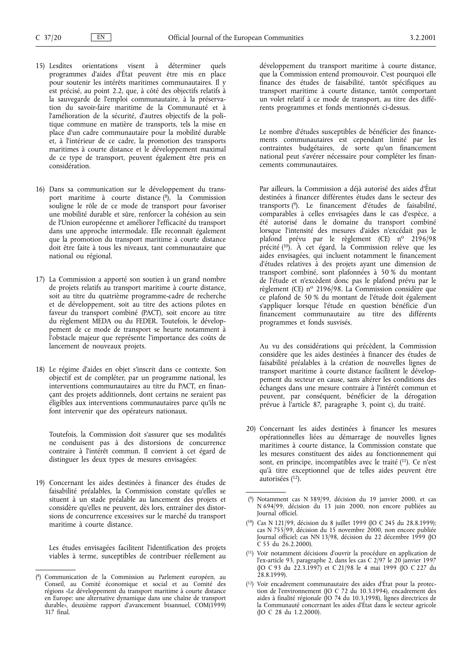- 15) Lesdites orientations visent à déterminer quels programmes d'aides d'État peuvent être mis en place pour soutenir les intérêts maritimes communautaires. Il y est précisé, au point 2.2, que, à côté des objectifs relatifs à la sauvegarde de l'emploi communautaire, à la préservation du savoir-faire maritime de la Communauté et à l'amélioration de la sécurité, d'autres objectifs de la politique commune en matière de transports, tels la mise en place d'un cadre communautaire pour la mobilité durable et, à l'intérieur de ce cadre, la promotion des transports maritimes à courte distance et le développement maximal de ce type de transport, peuvent également être pris en considération.
- 16) Dans sa communication sur le développement du transport maritime à courte distance (8), la Commission souligne le rôle de ce mode de transport pour favoriser une mobilité durable et sûre, renforcer la cohésion au sein de l'Union européenne et améliorer l'efficacité du transport dans une approche intermodale. Elle reconnaît également que la promotion du transport maritime à courte distance doit être faite à tous les niveaux, tant communautaire que national ou régional.
- 17) La Commission a apporté son soutien à un grand nombre de projets relatifs au transport maritime à courte distance, soit au titre du quatrième programme-cadre de recherche et de développement, soit au titre des actions pilotes en faveur du transport combiné (PACT), soit encore au titre du règlement MEDA ou du FEDER. Toutefois, le développement de ce mode de transport se heurte notamment à l'obstacle majeur que représente l'importance des coûts de lancement de nouveaux projets.
- 18) Le régime d'aides en objet s'inscrit dans ce contexte. Son objectif est de compléter, par un programme national, les interventions communautaires au titre du PACT, en finançant des projets additionnels, dont certains ne seraient pas Øligibles aux interventions communautaires parce qu'ils ne font intervenir que des opérateurs nationaux.

Toutefois, la Commission doit s'assurer que ses modalités ne conduisent pas à des distorsions de concurrence contraire à l'intérêt commun. Il convient à cet égard de distinguer les deux types de mesures envisagées:

19) Concernant les aides destinées à financer des études de faisabilité préalables, la Commission constate qu'elles se situent à un stade préalable au lancement des projets et considère qu'elles ne peuvent, dès lors, entraîner des distorsions de concurrence excessives sur le marché du transport maritime à courte distance.

Les études envisagées facilitent l'identification des projets viables à terme, susceptibles de contribuer réellement au développement du transport maritime à courte distance, que la Commission entend promouvoir. C'est pourquoi elle finance des études de faisabilité, tantôt spécifiques au transport maritime à courte distance, tantôt comportant un volet relatif à ce mode de transport, au titre des différents programmes et fonds mentionnés ci-dessus.

Le nombre d'études susceptibles de bénéficier des financements communautaires est cependant limité par les contraintes budgétaires, de sorte qu'un financement national peut s'avérer nécessaire pour compléter les financements communautaires.

Par ailleurs, la Commission a déjà autorisé des aides d'État destinées à financer différentes études dans le secteur des transports  $(9)$ . Le financement d'études de faisabilité, comparables à celles envisagées dans le cas d'espèce, a été autorisé dans le domaine du transport combiné lorsque l'intensité des mesures d'aides n'excédait pas le plafond prévu par le règlement (CE) nº 2196/98 précité ( $10$ ). À cet égard, la Commission relève que les aides envisagées, qui incluent notamment le financement d'études relatives à des projets ayant une dimension de transport combiné, sont plafonnées à 50 % du montant de l'étude et n'excèdent donc pas le plafond prévu par le règlement (CE) nº 2196/98. La Commission considère que ce plafond de 50 % du montant de l'étude doit également s'appliquer lorsque l'étude en question bénéficie d'un financement communautaire au titre des différents programmes et fonds susvisés.

Au vu des considérations qui précèdent, la Commission considère que les aides destinées à financer des études de faisabilité préalables à la création de nouvelles lignes de transport maritime à courte distance facilitent le développement du secteur en cause, sans altérer les conditions des échanges dans une mesure contraire à l'intérêt commun et peuvent, par conséquent, bénéficier de la dérogation prévue à l'article 87, paragraphe 3, point c), du traité.

- 20) Concernant les aides destinées à financer les mesures opérationnelles liées au démarrage de nouvelles lignes maritimes à courte distance, la Commission constate que les mesures constituent des aides au fonctionnement qui sont, en principe, incompatibles avec le traité (11). Ce n'est qu'à titre exceptionnel que de telles aides peuvent être autorisées  $(12)$ .
- (<sup>9</sup>) Notamment cas N 389/99, décision du 19 janvier 2000, et cas N 694/99, décision du 13 juin 2000, non encore publiées au Journal officiel.
- (<sup>10</sup>) Cas N 121/99, décision du 8 juillet 1999 (JO C 245 du 28.8.1999); cas N 755/99, décision du 15 novembre 2000, non encore publiée Journal officiel; cas NN 13/98, décision du 22 décembre 1999 (JO C 55 du 26.2.2000).
- (<sup>11</sup>) Voir notamment décisions d'ouvrir la procédure en application de l'ex-article 93, paragraphe 2, dans les cas C 2/97 le 20 janvier 1997 (JO C 93 du 22.3.1997) et C 21/98 le 4 mai 1999 (JO C 227 du 28.8.1999).
- ( 12) Voir encadrement communautaire des aides d'État pour la protection de l'environnement (JO C 72 du 10.3.1994), encadrement des aides à finalité régionale (JO 74 du 10.3.1998), lignes directrices de la Communauté concernant les aides d'État dans le secteur agricole (JO C 28 du 1.2.2000).

<sup>(8)</sup> Communication de la Commission au Parlement européen, au Conseil, au Comité économique et social et au Comité des régions «Le développement du transport maritime à courte distance en Europe: une alternative dynamique dans une chaîne de transport durable», deuxième rapport d'avancement bisannuel, COM(1999) 317 final.